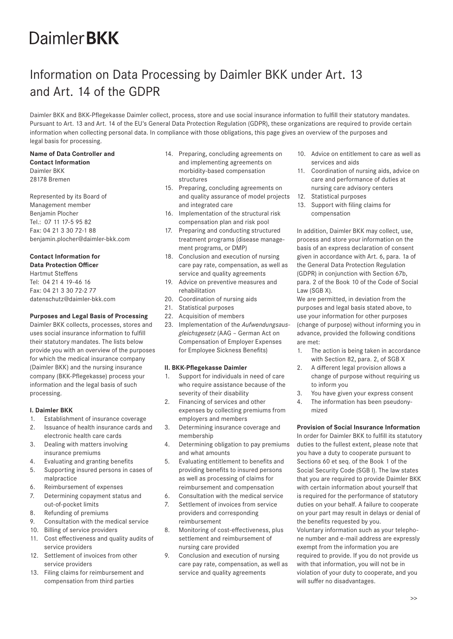# **DaimlerBKK**

# Information on Data Processing by Daimler BKK under Art. 13 and Art. 14 of the GDPR

Daimler BKK and BKK-Pflegekasse Daimler collect, process, store and use social insurance information to fulfill their statutory mandates. Pursuant to Art. 13 and Art. 14 of the EU's General Data Protection Regulation (GDPR), these organizations are required to provide certain information when collecting personal data. In compliance with those obligations, this page gives an overview of the purposes and legal basis for processing.

#### **Name of Data Controller and Contact Information**

Daimler BKK 28178 Bremen

Represented by its Board of Management member Benjamin Plocher Tel.: 07 11 17-5 95 82 Fax: 04 21 3 30 72-1 88 benjamin.plocher@daimler-bkk.com

# **Contact Information for**

**Data Protection Officer** Hartmut Steffens Tel: 04 21 4 19-46 16 Fax: 04 21 3 30 72-2 77 datenschutz@daimler-bkk.com

# **Purposes and Legal Basis of Processing**

Daimler BKK collects, processes, stores and uses social insurance information to fulfill their statutory mandates. The lists below provide you with an overview of the purposes for which the medical insurance company (Daimler BKK) and the nursing insurance company (BKK-Pflegekasse) process your information and the legal basis of such processing.

# **I. Daimler BKK**

- 1. Establishment of insurance coverage
- 2. Issuance of health insurance cards and electronic health care cards
- 3. Dealing with matters involving insurance premiums
- 4. Evaluating and granting benefits
- 5. Supporting insured persons in cases of malpractice
- 6. Reimbursement of expenses
- 7. Determining copayment status and out-of-pocket limits
- 8. Refunding of premiums
- 9. Consultation with the medical service
- 10. Billing of service providers
- 11. Cost effectiveness and quality audits of service providers
- 12. Settlement of invoices from other service providers
- 13. Filing claims for reimbursement and compensation from third parties
- 14. Preparing, concluding agreements on and implementing agreements on morbidity-based compensation structures
- 15. Preparing, concluding agreements on and quality assurance of model projects and integrated care
- 16. Implementation of the structural risk compensation plan and risk pool
- 17. Preparing and conducting structured treatment programs (disease management programs, or DMP)
- 18. Conclusion and execution of nursing care pay rate, compensation, as well as service and quality agreements
- 19. Advice on preventive measures and rehabilitation
- 20. Coordination of nursing aids
- 21. Statistical purposes
- 22. Acquisition of members
- 23. Implementation of the *Aufwendungsausgleichsgesetz* (AAG – German Act on Compensation of Employer Expenses for Employee Sickness Benefits)

# **II. BKK-Pflegekasse Daimler**

- 1. Support for individuals in need of care who require assistance because of the severity of their disability
- 2. Financing of services and other expenses by collecting premiums from employers and members
- 3. Determining insurance coverage and membership
- 4. Determining obligation to pay premiums and what amounts
- 5. Evaluating entitlement to benefits and providing benefits to insured persons as well as processing of claims for reimbursement and compensation
- 6. Consultation with the medical service
- 7. Settlement of invoices from service providers and corresponding reimbursement
- 8. Monitoring of cost-effectiveness, plus settlement and reimbursement of nursing care provided
- 9. Conclusion and execution of nursing care pay rate, compensation, as well as service and quality agreements
- 10. Advice on entitlement to care as well as services and aids
- 11. Coordination of nursing aids, advice on care and performance of duties at nursing care advisory centers
- 12. Statistical purposes
- 13. Support with filing claims for compensation

In addition, Daimler BKK may collect, use, process and store your information on the basis of an express declaration of consent given in accordance with Art. 6, para. 1a of the General Data Protection Regulation (GDPR) in conjunction with Section 67b, para. 2 of the Book 10 of the Code of Social Law (SGB X).

We are permitted, in deviation from the purposes and legal basis stated above, to use your information for other purposes (change of purpose) without informing you in advance, provided the following conditions are met:

- 1. The action is being taken in accordance with Section 82, para. 2, of SGB X
- 2. A different legal provision allows a change of purpose without requiring us to inform you
- 3. You have given your express consent
- 4. The information has been pseudonymized

# **Provision of Social Insurance Information**

In order for Daimler BKK to fulfill its statutory duties to the fullest extent, please note that you have a duty to cooperate pursuant to Sections 60 et seq. of the Book 1 of the Social Security Code (SGB I). The law states that you are required to provide Daimler BKK with certain information about yourself that is required for the performance of statutory duties on your behalf. A failure to cooperate on your part may result in delays or denial of the benefits requested by you. Voluntary information such as your telephone number and e-mail address are expressly

exempt from the information you are required to provide. If you do not provide us with that information, you will not be in violation of your duty to cooperate, and you will suffer no disadvantages.